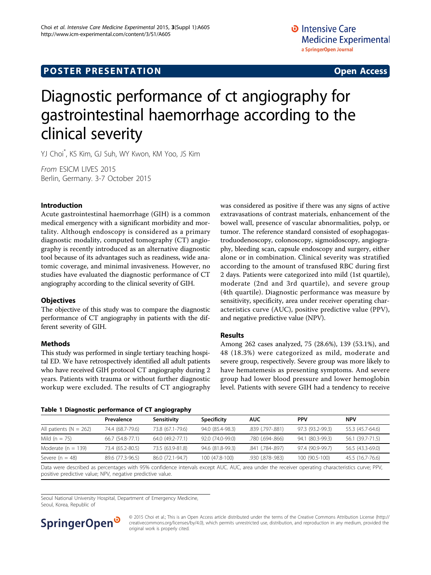# <span id="page-0-0"></span>Diagnostic performance of ct angiography for gastrointestinal haemorrhage according to the clinical severity

YJ Choi\* , KS Kim, GJ Suh, WY Kwon, KM Yoo, JS Kim

From ESICM LIVES 2015 Berlin, Germany. 3-7 October 2015

### Introduction

Acute gastrointestinal haemorrhage (GIH) is a common medical emergency with a significant morbidity and mortality. Although endoscopy is considered as a primary diagnostic modality, computed tomography (CT) angiography is recently introduced as an alternative diagnostic tool because of its advantages such as readiness, wide anatomic coverage, and minimal invasiveness. However, no studies have evaluated the diagnostic performance of CT angiography according to the clinical severity of GIH.

#### **Objectives**

The objective of this study was to compare the diagnostic performance of CT angiography in patients with the different severity of GIH.

#### Methods

This study was performed in single tertiary teaching hospital ED. We have retrospectively identified all adult patients who have received GIH protocol CT angiography during 2 years. Patients with trauma or without further diagnostic workup were excluded. The results of CT angiography was considered as positive if there was any signs of active extravasations of contrast materials, enhancement of the bowel wall, presence of vascular abnormalities, polyp, or tumor. The reference standard consisted of esophagogastroduodenoscopy, colonoscopy, sigmoidoscopy, angiography, bleeding scan, capsule endoscopy and surgery, either alone or in combination. Clinical severity was stratified according to the amount of transfused RBC during first 2 days. Patients were categorized into mild (1st quartile), moderate (2nd and 3rd quartile), and severe group (4th quartile). Diagnostic performance was measure by sensitivity, specificity, area under receiver operating characteristics curve (AUC), positive predictive value (PPV), and negative predictive value (NPV).

#### Results

Among 262 cases analyzed, 75 (28.6%), 139 (53.1%), and 48 (18.3%) were categorized as mild, moderate and severe group, respectively. Severe group was more likely to have hematemesis as presenting symptoms. And severe group had lower blood pressure and lower hemoglobin level. Patients with severe GIH had a tendency to receive

|  | Table 1 Diagnostic performance of CT angiography |  |  |
|--|--------------------------------------------------|--|--|
|  |                                                  |  |  |

|                                                                                                                               | Prevalence       | Sensitivity      | <b>Specificity</b> | <b>AUC</b>       | <b>PPV</b>       | <b>NPV</b>       |  |  |  |
|-------------------------------------------------------------------------------------------------------------------------------|------------------|------------------|--------------------|------------------|------------------|------------------|--|--|--|
| All patients ( $N = 262$ )                                                                                                    | 74.4 (68.7-79.6) | 73.8 (67.1-79.6) | 94.0 (85.4-98.3)   | .839 (.797-.881) | 97.3 (93.2-99.3) | 55.3 (45.7-64.6) |  |  |  |
| Mild $(n = 75)$                                                                                                               | 66.7 (54.8-77.1) | 64.0 (49.2-77.1) | 92.0 (74.0-99.0)   | .780 (.694-.866) | 94.1 (80.3-99.3) | 56.1 (39.7-71.5) |  |  |  |
| Moderate ( $n = 139$ )                                                                                                        | 73.4 (65.2-80.5) | 73.5 (63.9-81.8) | 94.6 (81.8-99.3)   | .841 (.784-.897) | 97.4 (90.9-99.7) | 56.5 (43.3-69.0) |  |  |  |
| Severe $(n = 48)$                                                                                                             | 89.6 (77.3-96.5) | 86.0 (72.1-94.7) | 100 (47.8-100)     | .930 (.878-.983) | 100 (90.5-100)   | 45.5 (16.7-76.6) |  |  |  |
| Data waxa dagalkad ay sacaanaana wilk OEM waafidaana istaanka ahaana 111C ALIC waa waday ka saca sacaanaanaanaanaana maga DDU |                  |                  |                    |                  |                  |                  |  |  |  |

Data were described as percentages with 95% confidence intervals except AUC. AUC, area under the receiver operating characteristics curve; PPV, positive predictive value; NPV, negative predictive value.

Seoul National University Hospital, Department of Emergency Medicine, Seoul, Korea, Republic of



© 2015 Choi et al.; This is an Open Access article distributed under the terms of the Creative Commons Attribution License [\(http://](http://creativecommons.org/licenses/by/4.0) [creativecommons.org/licenses/by/4.0](http://creativecommons.org/licenses/by/4.0)), which permits unrestricted use, distribution, and reproduction in any medium, provided the original work is properly cited.